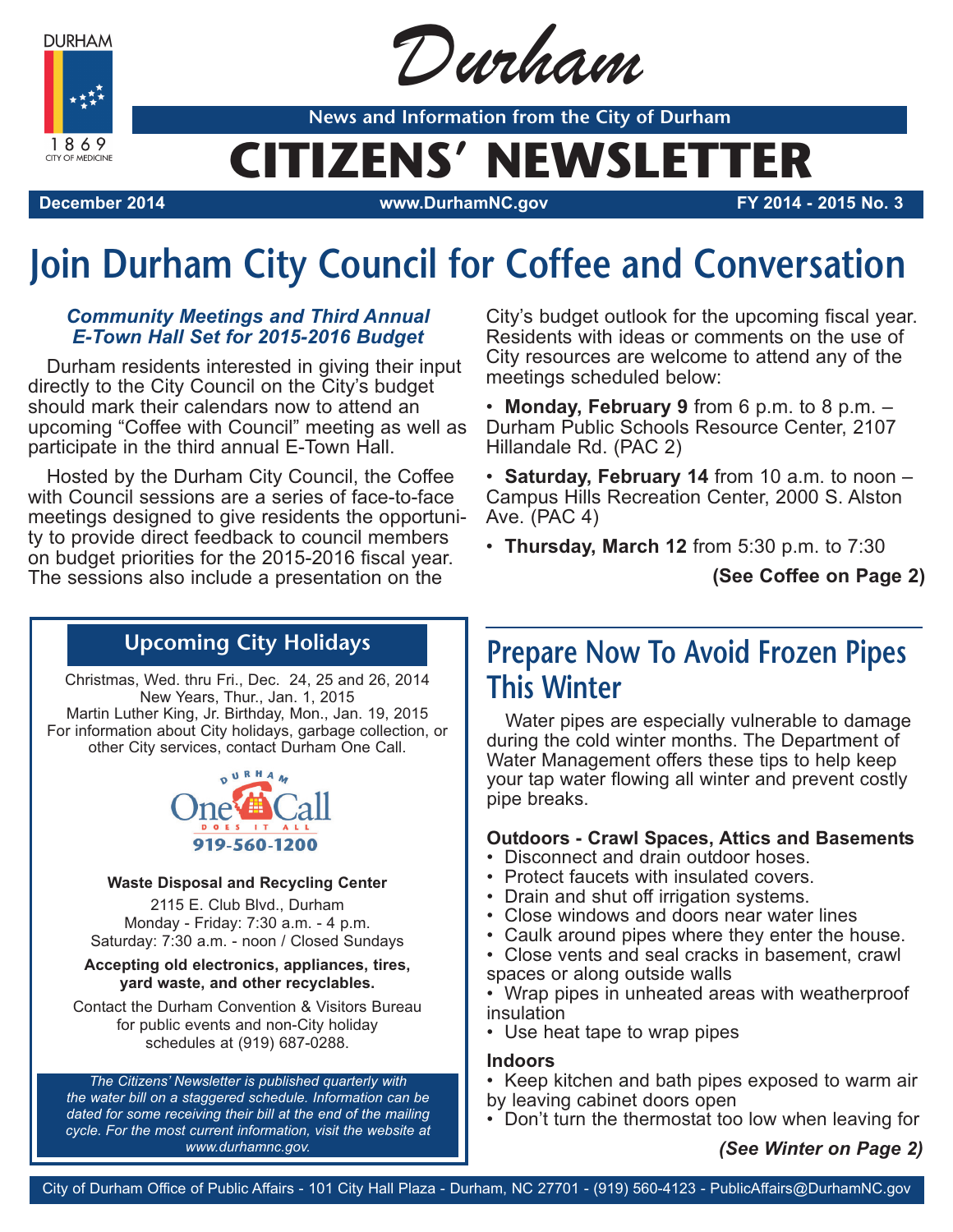**DURHAM** 

1869 CITY OF MEDICINE



**News and Information from the City of Durham**

# **CITIZENS' NEWSLETTER**

**December 2014 www.DurhamNC.gov FY 2014 - 2015 No. 3**

# **Join Durham City Council for Coffee and Conversation**

#### *Community Meetings and Third Annual E-Town Hall Set for 2015-2016 Budget*

Durham residents interested in giving their input directly to the City Council on the City's budget should mark their calendars now to attend an upcoming "Coffee with Council" meeting as well as participate in the third annual E-Town Hall.

Hosted by the Durham City Council, the Coffee with Council sessions are a series of face-to-face meetings designed to give residents the opportunity to provide direct feedback to council members on budget priorities for the 2015-2016 fiscal year. The sessions also include a presentation on the

City's budget outlook for the upcoming fiscal year. Residents with ideas or comments on the use of City resources are welcome to attend any of the meetings scheduled below:

• **Monday, February 9** from 6 p.m. to 8 p.m. – Durham Public Schools Resource Center, 2107 Hillandale Rd. (PAC 2)

• **Saturday, February 14** from 10 a.m. to noon – Campus Hills Recreation Center, 2000 S. Alston Ave. (PAC 4)

• **Thursday, March 12** from 5:30 p.m. to 7:30

**(See Coffee on Page 2)**

### **Upcoming City Holidays**

Christmas, Wed. thru Fri., Dec. 24, 25 and 26, 2014 New Years, Thur., Jan. 1, 2015 Martin Luther King, Jr. Birthday, Mon., Jan. 19, 2015 For information about City holidays, garbage collection, or other City services, contact Durham One Call.



#### **Waste Disposal and Recycling Center**

2115 E. Club Blvd., Durham Monday - Friday: 7:30 a.m. - 4 p.m. Saturday: 7:30 a.m. - noon / Closed Sundays

#### **Accepting old electronics, appliances, tires, yard waste, and other recyclables.**

Contact the Durham Convention & Visitors Bureau for public events and non-City holiday schedules at (919) 687-0288.

*The Citizens' Newsletter is published quarterly with the water bill on a staggered schedule. Information can be dated for some receiving their bill at the end of the mailing cycle. For the most current information, visit the website at www.durhamnc.gov.*

## **Prepare Now To Avoid Frozen Pipes This Winter**

Water pipes are especially vulnerable to damage during the cold winter months. The Department of Water Management offers these tips to help keep your tap water flowing all winter and prevent costly pipe breaks.

#### **Outdoors - Crawl Spaces, Attics and Basements**

- Disconnect and drain outdoor hoses.
- Protect faucets with insulated covers.
- Drain and shut off irrigation systems.
- Close windows and doors near water lines
- Caulk around pipes where they enter the house.
- Close vents and seal cracks in basement, crawl spaces or along outside walls
- Wrap pipes in unheated areas with weatherproof insulation
- Use heat tape to wrap pipes

#### **Indoors**

- Keep kitchen and bath pipes exposed to warm air by leaving cabinet doors open
- Don't turn the thermostat too low when leaving for

*(See Winter on Page 2)*